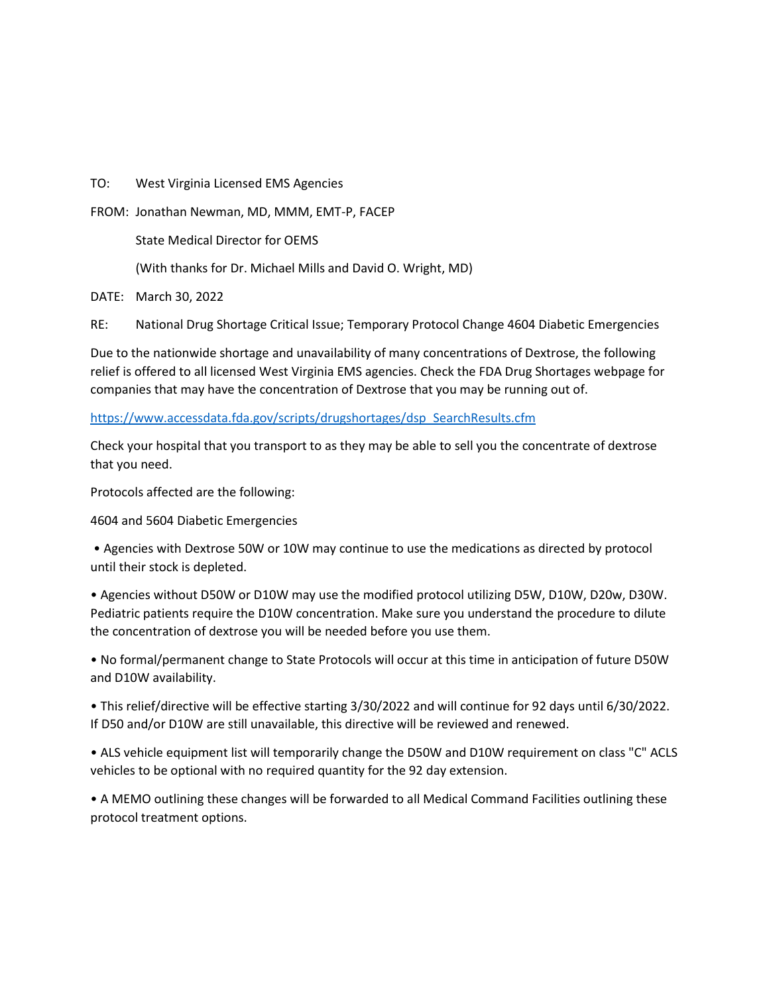TO: West Virginia Licensed EMS Agencies

FROM: Jonathan Newman, MD, MMM, EMT-P, FACEP

State Medical Director for OEMS

(With thanks for Dr. Michael Mills and David O. Wright, MD)

DATE: March 30, 2022

RE: National Drug Shortage Critical Issue; Temporary Protocol Change 4604 Diabetic Emergencies

Due to the nationwide shortage and unavailability of many concentrations of Dextrose, the following relief is offered to all licensed West Virginia EMS agencies. Check the FDA Drug Shortages webpage for companies that may have the concentration of Dextrose that you may be running out of.

## [https://www.accessdata.fda.gov/scripts/drugshortages/dsp\\_SearchResults.cfm](about:blank)

Check your hospital that you transport to as they may be able to sell you the concentrate of dextrose that you need.

Protocols affected are the following:

4604 and 5604 Diabetic Emergencies

• Agencies with Dextrose 50W or 10W may continue to use the medications as directed by protocol until their stock is depleted.

• Agencies without D50W or D10W may use the modified protocol utilizing D5W, D10W, D20w, D30W. Pediatric patients require the D10W concentration. Make sure you understand the procedure to dilute the concentration of dextrose you will be needed before you use them.

• No formal/permanent change to State Protocols will occur at this time in anticipation of future D50W and D10W availability.

• This relief/directive will be effective starting 3/30/2022 and will continue for 92 days until 6/30/2022. If D50 and/or D10W are still unavailable, this directive will be reviewed and renewed.

• ALS vehicle equipment list will temporarily change the D50W and D10W requirement on class "C" ACLS vehicles to be optional with no required quantity for the 92 day extension.

• A MEMO outlining these changes will be forwarded to all Medical Command Facilities outlining these protocol treatment options.